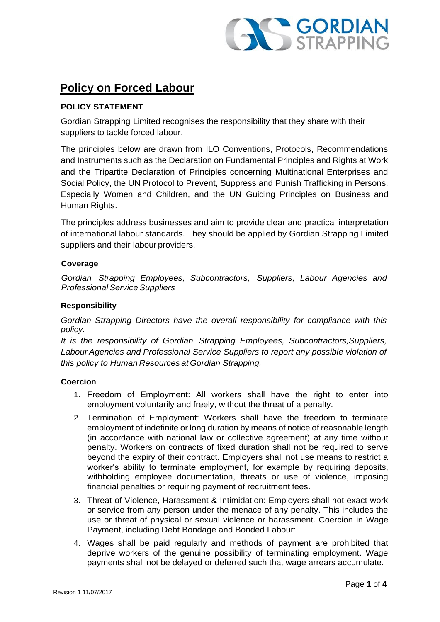

# **Policy on Forced Labour**

# **POLICY STATEMENT**

Gordian Strapping Limited recognises the responsibility that they share with their suppliers to tackle forced labour.

The principles below are drawn from ILO Conventions, Protocols, Recommendations and Instruments such as the Declaration on Fundamental Principles and Rights at Work and the Tripartite Declaration of Principles concerning Multinational Enterprises and Social Policy, the UN Protocol to Prevent, Suppress and Punish Trafficking in Persons, Especially Women and Children, and the UN Guiding Principles on Business and Human Rights.

The principles address businesses and aim to provide clear and practical interpretation of international labour standards. They should be applied by Gordian Strapping Limited suppliers and their labour providers.

# **Coverage**

*Gordian Strapping Employees, Subcontractors, Suppliers, Labour Agencies and* **Professional Service Suppliers** 

## **Responsibility**

*Gordian Strapping Directors have the overall responsibility for compliance with this policy.*

*It is the responsibility of Gordian Strapping Employees, Subcontractors,Suppliers, Labour Agencies and Professional Service Suppliers to report any possible violation of this policy to Human Resources at Gordian Strapping.*

# **Coercion**

- 1. Freedom of Employment: All workers shall have the right to enter into employment voluntarily and freely, without the threat of a penalty.
- 2. Termination of Employment: Workers shall have the freedom to terminate employment of indefinite or long duration by means of notice of reasonable length (in accordance with national law or collective agreement) at any time without penalty. Workers on contracts of fixed duration shall not be required to serve beyond the expiry of their contract. Employers shall not use means to restrict a worker's ability to terminate employment, for example by requiring deposits, withholding employee documentation, threats or use of violence, imposing financial penalties or requiring payment of recruitment fees.
- 3. Threat of Violence, Harassment & Intimidation: Employers shall not exact work or service from any person under the menace of any penalty. This includes the use or threat of physical or sexual violence or harassment. Coercion in Wage Payment, including Debt Bondage and Bonded Labour:
- 4. Wages shall be paid regularly and methods of payment are prohibited that deprive workers of the genuine possibility of terminating employment. Wage payments shall not be delayed or deferred such that wage arrears accumulate.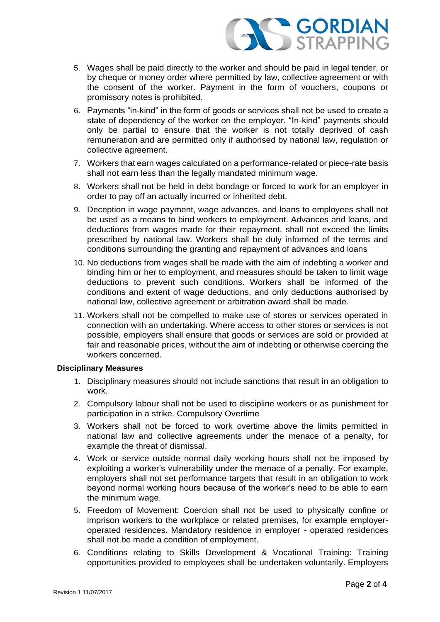

- 5. Wages shall be paid directly to the worker and should be paid in legal tender, or by cheque or money order where permitted by law, collective agreement or with the consent of the worker. Payment in the form of vouchers, coupons or promissory notes is prohibited.
- 6. Payments "in-kind" in the form of goods or services shall not be used to create a state of dependency of the worker on the employer. "In-kind" payments should only be partial to ensure that the worker is not totally deprived of cash remuneration and are permitted only if authorised by national law, regulation or collective agreement.
- 7. Workers that earn wages calculated on a performance-related or piece-rate basis shall not earn less than the legally mandated minimum wage.
- 8. Workers shall not be held in debt bondage or forced to work for an employer in order to pay off an actually incurred or inherited debt.
- 9. Deception in wage payment, wage advances, and loans to employees shall not be used as a means to bind workers to employment. Advances and loans, and deductions from wages made for their repayment, shall not exceed the limits prescribed by national law. Workers shall be duly informed of the terms and conditions surrounding the granting and repayment of advances and loans
- 10. No deductions from wages shall be made with the aim of indebting a worker and binding him or her to employment, and measures should be taken to limit wage deductions to prevent such conditions. Workers shall be informed of the conditions and extent of wage deductions, and only deductions authorised by national law, collective agreement or arbitration award shall be made.
- 11. Workers shall not be compelled to make use of stores or services operated in connection with an undertaking. Where access to other stores or services is not possible, employers shall ensure that goods or services are sold or provided at fair and reasonable prices, without the aim of indebting or otherwise coercing the workers concerned.

### **Disciplinary Measures**

- 1. Disciplinary measures should not include sanctions that result in an obligation to work.
- 2. Compulsory labour shall not be used to discipline workers or as punishment for participation in a strike. Compulsory Overtime
- 3. Workers shall not be forced to work overtime above the limits permitted in national law and collective agreements under the menace of a penalty, for example the threat of dismissal.
- 4. Work or service outside normal daily working hours shall not be imposed by exploiting a worker's vulnerability under the menace of a penalty. For example, employers shall not set performance targets that result in an obligation to work beyond normal working hours because of the worker's need to be able to earn the minimum wage.
- 5. Freedom of Movement: Coercion shall not be used to physically confine or imprison workers to the workplace or related premises, for example employeroperated residences. Mandatory residence in employer - operated residences shall not be made a condition of employment.
- 6. Conditions relating to Skills Development & Vocational Training: Training opportunities provided to employees shall be undertaken voluntarily. Employers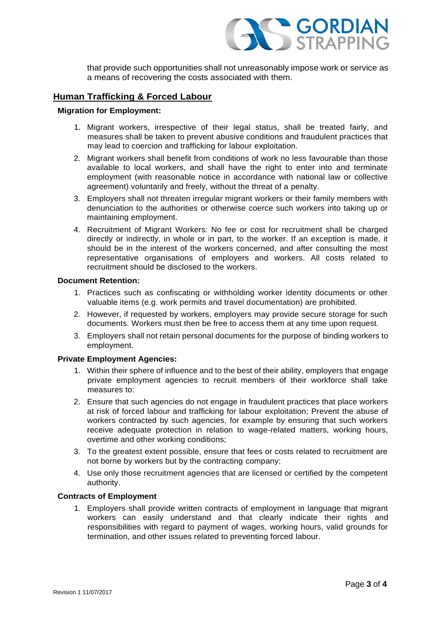

that provide such opportunities shall not unreasonably impose work or service as a means of recovering the costs associated with them.

# **Human Trafficking & Forced Labour**

#### **Migration for Employment:**

- 1. Migrant workers, irrespective of their legal status, shall be treated fairly, and measures shall be taken to prevent abusive conditions and fraudulent practices that may lead to coercion and trafficking for labour exploitation.
- 2. Migrant workers shall benefit from conditions of work no less favourable than those available to local workers, and shall have the right to enter into and terminate employment (with reasonable notice in accordance with national law or collective agreement) voluntarily and freely, without the threat of a penalty.
- 3. Employers shall not threaten irregular migrant workers or their family members with denunciation to the authorities or otherwise coerce such workers into taking up or maintaining employment.
- 4. Recruitment of Migrant Workers: No fee or cost for recruitment shall be charged directly or indirectly, in whole or in part, to the worker. If an exception is made, it should be in the interest of the workers concerned, and after consulting the most representative organisations of employers and workers. All costs related to recruitment should be disclosed to the workers.

### **Document Retention:**

- 1. Practices such as confiscating or withholding worker identity documents or other valuable items (e.g. work permits and travel documentation) are prohibited.
- 2. However, if requested by workers, employers may provide secure storage for such documents. Workers must then be free to access them at any time upon request.
- 3. Employers shall not retain personal documents for the purpose of binding workers to employment.

## **Private Employment Agencies:**

- 1. Within their sphere of influence and to the best of their ability, employers that engage private employment agencies to recruit members of their workforce shall take measures to:
- 2. Ensure that such agencies do not engage in fraudulent practices that place workers at risk of forced labour and trafficking for labour exploitation; Prevent the abuse of workers contracted by such agencies, for example by ensuring that such workers receive adequate protection in relation to wage-related matters, working hours, overtime and other working conditions;
- 3. To the greatest extent possible, ensure that fees or costs related to recruitment are not borne by workers but by the contracting company;
- 4. Use only those recruitment agencies that are licensed or certified by the competent authority.

#### **Contracts of Employment**

1. Employers shall provide written contracts of employment in language that migrant workers can easily understand and that clearly indicate their rights and responsibilities with regard to payment of wages, working hours, valid grounds for termination, and other issues related to preventing forced labour.